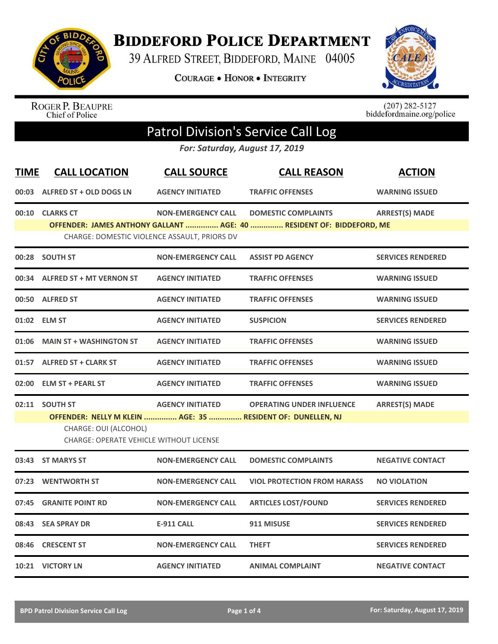

**BIDDEFORD POLICE DEPARTMENT** 

39 ALFRED STREET, BIDDEFORD, MAINE 04005

COURAGE . HONOR . INTEGRITY



ROGER P. BEAUPRE<br>Chief of Police

 $(207)$  282-5127<br>biddefordmaine.org/police

## Patrol Division's Service Call Log

*For: Saturday, August 17, 2019*

| <b>TIME</b>                                  | <b>CALL LOCATION</b>                                                    | <b>CALL SOURCE</b>        | <b>CALL REASON</b>                                                   | <b>ACTION</b>            |  |  |  |
|----------------------------------------------|-------------------------------------------------------------------------|---------------------------|----------------------------------------------------------------------|--------------------------|--|--|--|
| 00:03                                        | ALFRED ST + OLD DOGS LN                                                 | <b>AGENCY INITIATED</b>   | <b>TRAFFIC OFFENSES</b>                                              | <b>WARNING ISSUED</b>    |  |  |  |
| 00:10                                        | <b>CLARKS CT</b>                                                        | <b>NON-EMERGENCY CALL</b> | <b>DOMESTIC COMPLAINTS</b>                                           | <b>ARREST(S) MADE</b>    |  |  |  |
|                                              |                                                                         |                           | OFFENDER: JAMES ANTHONY GALLANT  AGE: 40  RESIDENT OF: BIDDEFORD, ME |                          |  |  |  |
| CHARGE: DOMESTIC VIOLENCE ASSAULT, PRIORS DV |                                                                         |                           |                                                                      |                          |  |  |  |
|                                              | 00:28 SOUTH ST                                                          | <b>NON-EMERGENCY CALL</b> | <b>ASSIST PD AGENCY</b>                                              | <b>SERVICES RENDERED</b> |  |  |  |
|                                              | 00:34 ALFRED ST + MT VERNON ST                                          | <b>AGENCY INITIATED</b>   | <b>TRAFFIC OFFENSES</b>                                              | <b>WARNING ISSUED</b>    |  |  |  |
|                                              | 00:50 ALFRED ST                                                         | <b>AGENCY INITIATED</b>   | <b>TRAFFIC OFFENSES</b>                                              | <b>WARNING ISSUED</b>    |  |  |  |
|                                              | 01:02 ELM ST                                                            | <b>AGENCY INITIATED</b>   | <b>SUSPICION</b>                                                     | <b>SERVICES RENDERED</b> |  |  |  |
| 01:06                                        | <b>MAIN ST + WASHINGTON ST</b>                                          | <b>AGENCY INITIATED</b>   | <b>TRAFFIC OFFENSES</b>                                              | <b>WARNING ISSUED</b>    |  |  |  |
| 01:57                                        | <b>ALFRED ST + CLARK ST</b>                                             | <b>AGENCY INITIATED</b>   | <b>TRAFFIC OFFENSES</b>                                              | <b>WARNING ISSUED</b>    |  |  |  |
| 02:00                                        | <b>ELM ST + PEARL ST</b>                                                | <b>AGENCY INITIATED</b>   | <b>TRAFFIC OFFENSES</b>                                              | <b>WARNING ISSUED</b>    |  |  |  |
|                                              | 02:11 SOUTH ST                                                          | <b>AGENCY INITIATED</b>   | <b>OPERATING UNDER INFLUENCE</b>                                     | <b>ARREST(S) MADE</b>    |  |  |  |
|                                              | OFFENDER: NELLY M KLEIN  AGE: 35  RESIDENT OF: DUNELLEN, NJ             |                           |                                                                      |                          |  |  |  |
|                                              | CHARGE: OUI (ALCOHOL)<br><b>CHARGE: OPERATE VEHICLE WITHOUT LICENSE</b> |                           |                                                                      |                          |  |  |  |
| 03:43                                        | <b>ST MARYS ST</b>                                                      | <b>NON-EMERGENCY CALL</b> | <b>DOMESTIC COMPLAINTS</b>                                           | <b>NEGATIVE CONTACT</b>  |  |  |  |
| 07:23                                        | <b>WENTWORTH ST</b>                                                     | <b>NON-EMERGENCY CALL</b> | <b>VIOL PROTECTION FROM HARASS</b>                                   | <b>NO VIOLATION</b>      |  |  |  |
| 07:45                                        | <b>GRANITE POINT RD</b>                                                 | <b>NON-EMERGENCY CALL</b> | <b>ARTICLES LOST/FOUND</b>                                           | <b>SERVICES RENDERED</b> |  |  |  |
| 08:43                                        | <b>SEA SPRAY DR</b>                                                     | <b>E-911 CALL</b>         | 911 MISUSE                                                           | <b>SERVICES RENDERED</b> |  |  |  |
| 08:46                                        | <b>CRESCENT ST</b>                                                      | <b>NON-EMERGENCY CALL</b> | <b>THEFT</b>                                                         | <b>SERVICES RENDERED</b> |  |  |  |
|                                              | 10:21 VICTORY LN                                                        | <b>AGENCY INITIATED</b>   | <b>ANIMAL COMPLAINT</b>                                              | <b>NEGATIVE CONTACT</b>  |  |  |  |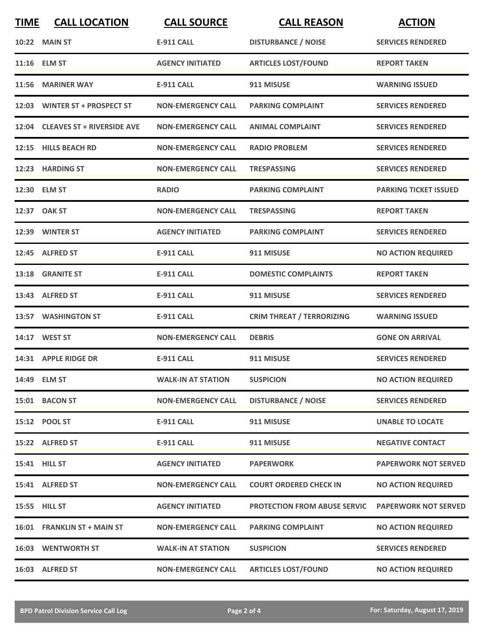| <b>TIME</b> | <b>CALL LOCATION</b>             | <b>CALL SOURCE</b>        | <b>CALL REASON</b>                  | <b>ACTION</b>                |
|-------------|----------------------------------|---------------------------|-------------------------------------|------------------------------|
|             | <b>10:22 MAIN ST</b>             | <b>E-911 CALL</b>         | <b>DISTURBANCE / NOISE</b>          | <b>SERVICES RENDERED</b>     |
|             | 11:16 ELM ST                     | <b>AGENCY INITIATED</b>   | <b>ARTICLES LOST/FOUND</b>          | <b>REPORT TAKEN</b>          |
|             | 11:56 MARINER WAY                | <b>E-911 CALL</b>         | 911 MISUSE                          | <b>WARNING ISSUED</b>        |
|             | 12:03 WINTER ST + PROSPECT ST    | <b>NON-EMERGENCY CALL</b> | <b>PARKING COMPLAINT</b>            | <b>SERVICES RENDERED</b>     |
|             | 12:04 CLEAVES ST + RIVERSIDE AVE | <b>NON-EMERGENCY CALL</b> | <b>ANIMAL COMPLAINT</b>             | <b>SERVICES RENDERED</b>     |
|             | 12:15 HILLS BEACH RD             | <b>NON-EMERGENCY CALL</b> | <b>RADIO PROBLEM</b>                | <b>SERVICES RENDERED</b>     |
|             | 12:23 HARDING ST                 | <b>NON-EMERGENCY CALL</b> | <b>TRESPASSING</b>                  | <b>SERVICES RENDERED</b>     |
|             | 12:30 ELM ST                     | <b>RADIO</b>              | <b>PARKING COMPLAINT</b>            | <b>PARKING TICKET ISSUED</b> |
|             | 12:37 OAK ST                     | <b>NON-EMERGENCY CALL</b> | <b>TRESPASSING</b>                  | <b>REPORT TAKEN</b>          |
|             | 12:39 WINTER ST                  | <b>AGENCY INITIATED</b>   | <b>PARKING COMPLAINT</b>            | <b>SERVICES RENDERED</b>     |
|             | 12:45 ALFRED ST                  | <b>E-911 CALL</b>         | 911 MISUSE                          | <b>NO ACTION REQUIRED</b>    |
|             | 13:18 GRANITE ST                 | <b>E-911 CALL</b>         | <b>DOMESTIC COMPLAINTS</b>          | <b>REPORT TAKEN</b>          |
|             | 13:43 ALFRED ST                  | <b>E-911 CALL</b>         | 911 MISUSE                          | <b>SERVICES RENDERED</b>     |
|             | 13:57 WASHINGTON ST              | <b>E-911 CALL</b>         | <b>CRIM THREAT / TERRORIZING</b>    | <b>WARNING ISSUED</b>        |
|             | 14:17 WEST ST                    | <b>NON-EMERGENCY CALL</b> | <b>DEBRIS</b>                       | <b>GONE ON ARRIVAL</b>       |
|             | 14:31 APPLE RIDGE DR             | E-911 CALL                | 911 MISUSE                          | <b>SERVICES RENDERED</b>     |
|             | 14:49 ELM ST                     | <b>WALK-IN AT STATION</b> | <b>SUSPICION</b>                    | <b>NO ACTION REQUIRED</b>    |
|             | 15:01 BACON ST                   | <b>NON-EMERGENCY CALL</b> | <b>DISTURBANCE / NOISE</b>          | <b>SERVICES RENDERED</b>     |
|             | 15:12 POOL ST                    | <b>E-911 CALL</b>         | 911 MISUSE                          | <b>UNABLE TO LOCATE</b>      |
|             | 15:22 ALFRED ST                  | <b>E-911 CALL</b>         | 911 MISUSE                          | <b>NEGATIVE CONTACT</b>      |
|             | 15:41 HILL ST                    | <b>AGENCY INITIATED</b>   | <b>PAPERWORK</b>                    | <b>PAPERWORK NOT SERVED</b>  |
|             | 15:41 ALFRED ST                  | <b>NON-EMERGENCY CALL</b> | <b>COURT ORDERED CHECK IN</b>       | <b>NO ACTION REQUIRED</b>    |
|             | 15:55 HILL ST                    | <b>AGENCY INITIATED</b>   | <b>PROTECTION FROM ABUSE SERVIC</b> | <b>PAPERWORK NOT SERVED</b>  |
|             | 16:01 FRANKLIN ST + MAIN ST      | <b>NON-EMERGENCY CALL</b> | <b>PARKING COMPLAINT</b>            | <b>NO ACTION REQUIRED</b>    |
|             | <b>16:03 WENTWORTH ST</b>        | <b>WALK-IN AT STATION</b> | <b>SUSPICION</b>                    | <b>SERVICES RENDERED</b>     |
|             | 16:03 ALFRED ST                  | <b>NON-EMERGENCY CALL</b> | <b>ARTICLES LOST/FOUND</b>          | <b>NO ACTION REQUIRED</b>    |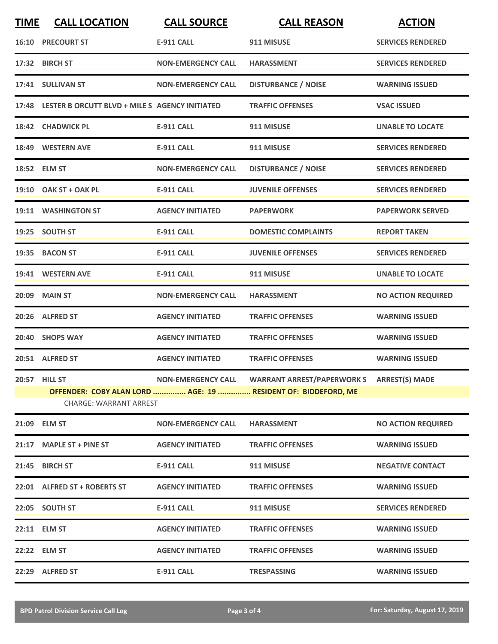| <b>TIME</b> | <b>CALL LOCATION</b>                                 | <b>CALL SOURCE</b>        | <b>CALL REASON</b>                                            | <b>ACTION</b>             |
|-------------|------------------------------------------------------|---------------------------|---------------------------------------------------------------|---------------------------|
|             | <b>16:10 PRECOURT ST</b>                             | <b>E-911 CALL</b>         | 911 MISUSE                                                    | <b>SERVICES RENDERED</b>  |
|             | 17:32 BIRCH ST                                       | <b>NON-EMERGENCY CALL</b> | <b>HARASSMENT</b>                                             | <b>SERVICES RENDERED</b>  |
|             | 17:41 SULLIVAN ST                                    | <b>NON-EMERGENCY CALL</b> | <b>DISTURBANCE / NOISE</b>                                    | <b>WARNING ISSUED</b>     |
|             | 17:48 LESTER B ORCUTT BLVD + MILE S AGENCY INITIATED |                           | <b>TRAFFIC OFFENSES</b>                                       | <b>VSAC ISSUED</b>        |
|             | 18:42 CHADWICK PL                                    | <b>E-911 CALL</b>         | 911 MISUSE                                                    | <b>UNABLE TO LOCATE</b>   |
|             | 18:49 WESTERN AVE                                    | <b>E-911 CALL</b>         | 911 MISUSE                                                    | <b>SERVICES RENDERED</b>  |
|             | 18:52 ELM ST                                         | <b>NON-EMERGENCY CALL</b> | <b>DISTURBANCE / NOISE</b>                                    | <b>SERVICES RENDERED</b>  |
|             | 19:10 OAK ST + OAK PL                                | <b>E-911 CALL</b>         | <b>JUVENILE OFFENSES</b>                                      | <b>SERVICES RENDERED</b>  |
|             | 19:11 WASHINGTON ST                                  | <b>AGENCY INITIATED</b>   | <b>PAPERWORK</b>                                              | <b>PAPERWORK SERVED</b>   |
|             | 19:25 SOUTH ST                                       | E-911 CALL                | <b>DOMESTIC COMPLAINTS</b>                                    | <b>REPORT TAKEN</b>       |
|             | 19:35 BACON ST                                       | <b>E-911 CALL</b>         | <b>JUVENILE OFFENSES</b>                                      | <b>SERVICES RENDERED</b>  |
|             | 19:41 WESTERN AVE                                    | <b>E-911 CALL</b>         | 911 MISUSE                                                    | <b>UNABLE TO LOCATE</b>   |
|             | 20:09 MAIN ST                                        | <b>NON-EMERGENCY CALL</b> | <b>HARASSMENT</b>                                             | <b>NO ACTION REQUIRED</b> |
|             | 20:26 ALFRED ST                                      | <b>AGENCY INITIATED</b>   | <b>TRAFFIC OFFENSES</b>                                       | <b>WARNING ISSUED</b>     |
|             | 20:40 SHOPS WAY                                      | <b>AGENCY INITIATED</b>   | <b>TRAFFIC OFFENSES</b>                                       | <b>WARNING ISSUED</b>     |
|             | 20:51 ALFRED ST                                      | <b>AGENCY INITIATED</b>   | <b>TRAFFIC OFFENSES</b>                                       | <b>WARNING ISSUED</b>     |
|             | 20:57 HILL ST                                        |                           |                                                               |                           |
|             |                                                      |                           | OFFENDER: COBY ALAN LORD  AGE: 19  RESIDENT OF: BIDDEFORD, ME |                           |
|             | <b>CHARGE: WARRANT ARREST</b>                        |                           |                                                               |                           |
|             | 21:09 ELM ST                                         | <b>NON-EMERGENCY CALL</b> | <b>HARASSMENT</b>                                             | <b>NO ACTION REQUIRED</b> |
|             | 21:17 MAPLE ST + PINE ST                             | <b>AGENCY INITIATED</b>   | <b>TRAFFIC OFFENSES</b>                                       | <b>WARNING ISSUED</b>     |
|             | 21:45 BIRCH ST                                       | <b>E-911 CALL</b>         | 911 MISUSE                                                    | <b>NEGATIVE CONTACT</b>   |
|             | 22:01 ALFRED ST + ROBERTS ST                         | <b>AGENCY INITIATED</b>   | <b>TRAFFIC OFFENSES</b>                                       | <b>WARNING ISSUED</b>     |
|             | 22:05 SOUTH ST                                       | E-911 CALL                | 911 MISUSE                                                    | <b>SERVICES RENDERED</b>  |
|             | 22:11 ELM ST                                         | <b>AGENCY INITIATED</b>   | <b>TRAFFIC OFFENSES</b>                                       | <b>WARNING ISSUED</b>     |
|             | 22:22 ELM ST                                         | <b>AGENCY INITIATED</b>   | <b>TRAFFIC OFFENSES</b>                                       | <b>WARNING ISSUED</b>     |
|             | 22:29 ALFRED ST                                      | <b>E-911 CALL</b>         | <b>TRESPASSING</b>                                            | <b>WARNING ISSUED</b>     |